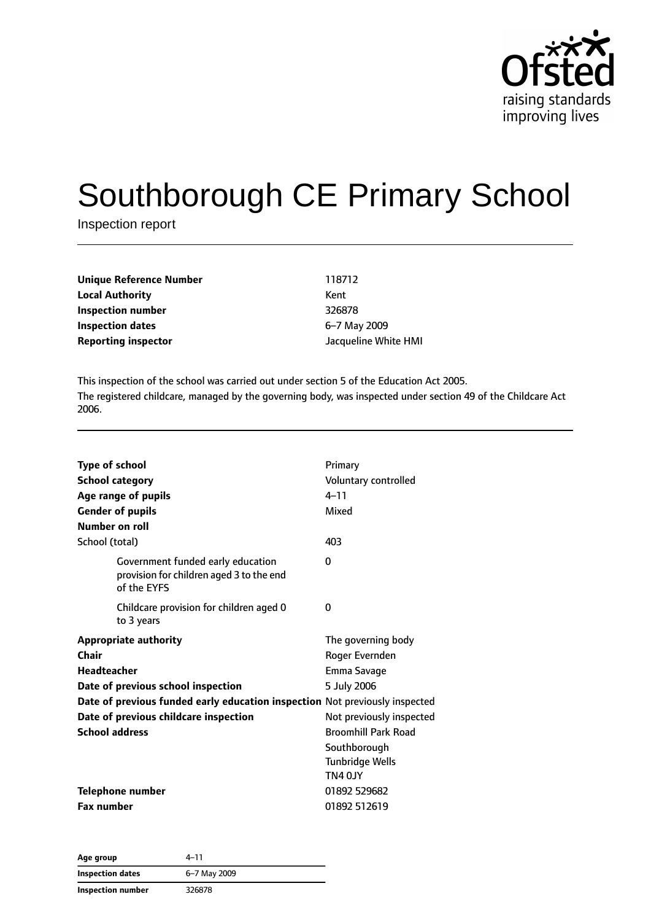

# Southborough CE Primary School

Inspection report

| <b>Unique Reference Number</b> | 118712               |
|--------------------------------|----------------------|
| <b>Local Authority</b>         | Kent                 |
| Inspection number              | 326878               |
| Inspection dates               | 6-7 May 2009         |
| <b>Reporting inspector</b>     | Jacqueline White HMI |

This inspection of the school was carried out under section 5 of the Education Act 2005. The registered childcare, managed by the governing body, was inspected under section 49 of the Childcare Act 2006.

| <b>Type of school</b><br><b>School category</b><br>Age range of pupils<br><b>Gender of pupils</b> | Primary<br>Voluntary controlled<br>$4 - 11$<br>Mixed |
|---------------------------------------------------------------------------------------------------|------------------------------------------------------|
| Number on roll<br>School (total)                                                                  | 403                                                  |
|                                                                                                   |                                                      |
| Government funded early education<br>provision for children aged 3 to the end<br>of the EYFS      | $\Omega$                                             |
| Childcare provision for children aged 0<br>to 3 years                                             | 0                                                    |
| <b>Appropriate authority</b>                                                                      | The governing body                                   |
| Chair                                                                                             | Roger Evernden                                       |
| Headteacher                                                                                       | Emma Savage                                          |
| Date of previous school inspection                                                                | 5 July 2006                                          |
| Date of previous funded early education inspection Not previously inspected                       |                                                      |
| Date of previous childcare inspection                                                             | Not previously inspected                             |
| <b>School address</b>                                                                             | <b>Broomhill Park Road</b>                           |
|                                                                                                   | Southborough                                         |
|                                                                                                   | <b>Tunbridge Wells</b>                               |
|                                                                                                   | TN4 OJY                                              |
| <b>Telephone number</b>                                                                           | 01892 529682                                         |
| <b>Fax number</b>                                                                                 | 01892 512619                                         |

| Age group                | 4–11         |  |
|--------------------------|--------------|--|
| Inspection dates         | 6-7 May 2009 |  |
| <b>Inspection number</b> | 326878       |  |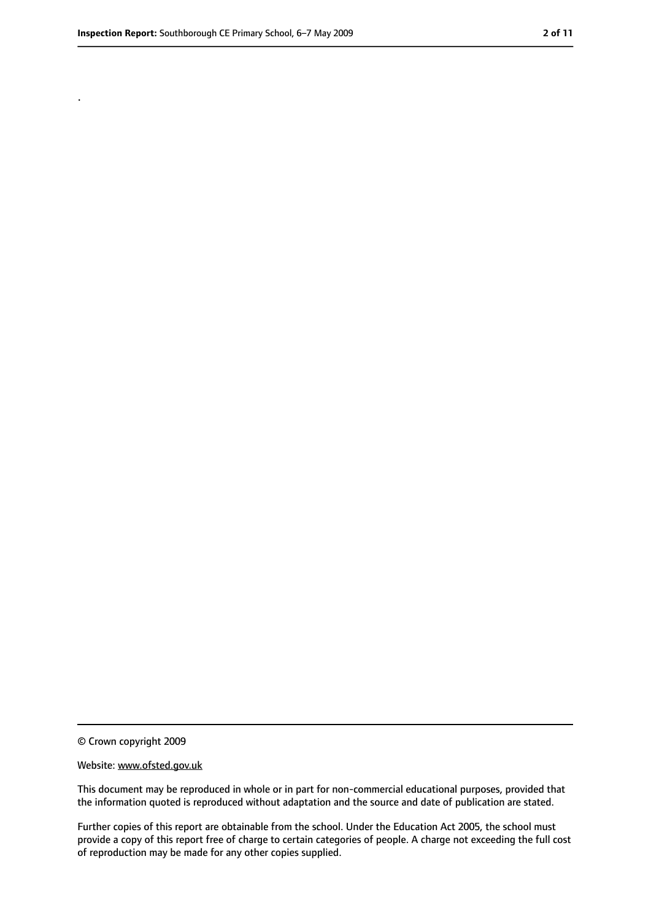.

<sup>©</sup> Crown copyright 2009

Website: www.ofsted.gov.uk

This document may be reproduced in whole or in part for non-commercial educational purposes, provided that the information quoted is reproduced without adaptation and the source and date of publication are stated.

Further copies of this report are obtainable from the school. Under the Education Act 2005, the school must provide a copy of this report free of charge to certain categories of people. A charge not exceeding the full cost of reproduction may be made for any other copies supplied.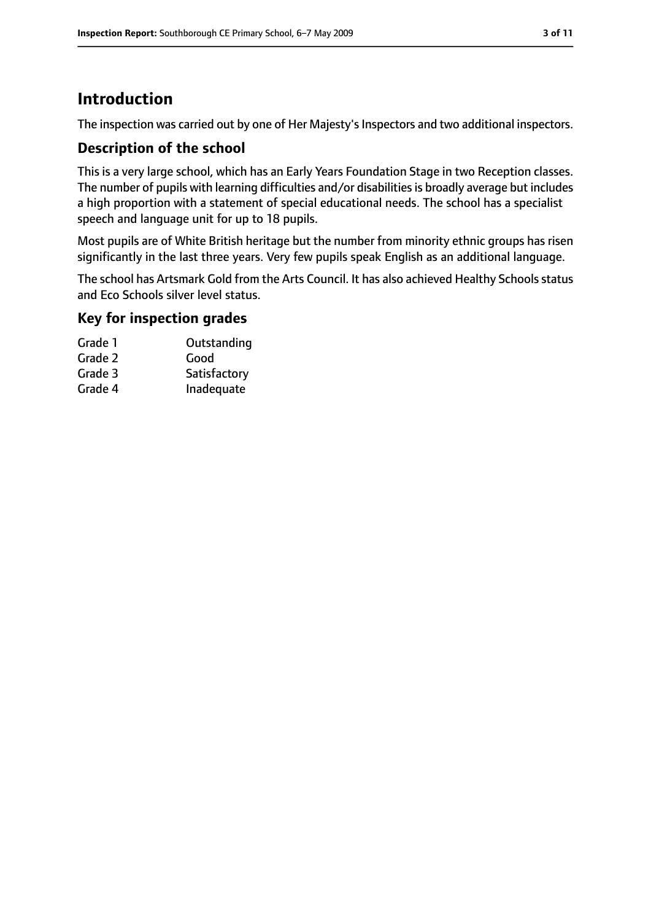# **Introduction**

The inspection was carried out by one of Her Majesty's Inspectors and two additional inspectors.

#### **Description of the school**

This is a very large school, which has an Early Years Foundation Stage in two Reception classes. The number of pupils with learning difficulties and/or disabilities is broadly average but includes a high proportion with a statement of special educational needs. The school has a specialist speech and language unit for up to 18 pupils.

Most pupils are of White British heritage but the number from minority ethnic groups has risen significantly in the last three years. Very few pupils speak English as an additional language.

The school has Artsmark Gold from the Arts Council. It has also achieved Healthy Schools status and Eco Schools silver level status.

#### **Key for inspection grades**

| Grade 1 | Outstanding  |
|---------|--------------|
| Grade 2 | Good         |
| Grade 3 | Satisfactory |
| Grade 4 | Inadequate   |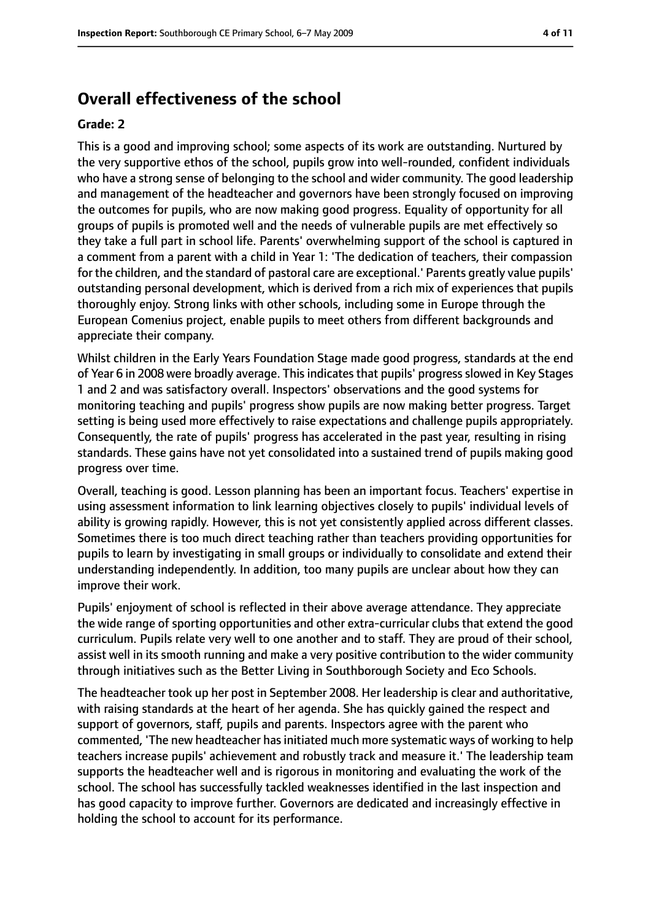### **Overall effectiveness of the school**

#### **Grade: 2**

This is a good and improving school; some aspects of its work are outstanding. Nurtured by the very supportive ethos of the school, pupils grow into well-rounded, confident individuals who have a strong sense of belonging to the school and wider community. The good leadership and management of the headteacher and governors have been strongly focused on improving the outcomes for pupils, who are now making good progress. Equality of opportunity for all groups of pupils is promoted well and the needs of vulnerable pupils are met effectively so they take a full part in school life. Parents' overwhelming support of the school is captured in a comment from a parent with a child in Year 1: 'The dedication of teachers, their compassion for the children, and the standard of pastoral care are exceptional.' Parents greatly value pupils' outstanding personal development, which is derived from a rich mix of experiences that pupils thoroughly enjoy. Strong links with other schools, including some in Europe through the European Comenius project, enable pupils to meet others from different backgrounds and appreciate their company.

Whilst children in the Early Years Foundation Stage made good progress, standards at the end of Year 6 in 2008 were broadly average. This indicates that pupils' progress slowed in Key Stages 1 and 2 and was satisfactory overall. Inspectors' observations and the good systems for monitoring teaching and pupils' progress show pupils are now making better progress. Target setting is being used more effectively to raise expectations and challenge pupils appropriately. Consequently, the rate of pupils' progress has accelerated in the past year, resulting in rising standards. These gains have not yet consolidated into a sustained trend of pupils making good progress over time.

Overall, teaching is good. Lesson planning has been an important focus. Teachers' expertise in using assessment information to link learning objectives closely to pupils' individual levels of ability is growing rapidly. However, this is not yet consistently applied across different classes. Sometimes there is too much direct teaching rather than teachers providing opportunities for pupils to learn by investigating in small groups or individually to consolidate and extend their understanding independently. In addition, too many pupils are unclear about how they can improve their work.

Pupils' enjoyment of school is reflected in their above average attendance. They appreciate the wide range of sporting opportunities and other extra-curricular clubs that extend the good curriculum. Pupils relate very well to one another and to staff. They are proud of their school, assist well in its smooth running and make a very positive contribution to the wider community through initiatives such as the Better Living in Southborough Society and Eco Schools.

The headteacher took up her post in September 2008. Her leadership is clear and authoritative, with raising standards at the heart of her agenda. She has quickly gained the respect and support of governors, staff, pupils and parents. Inspectors agree with the parent who commented, 'The new headteacher has initiated much more systematic ways of working to help teachers increase pupils' achievement and robustly track and measure it.' The leadership team supports the headteacher well and is rigorous in monitoring and evaluating the work of the school. The school has successfully tackled weaknesses identified in the last inspection and has good capacity to improve further. Governors are dedicated and increasingly effective in holding the school to account for its performance.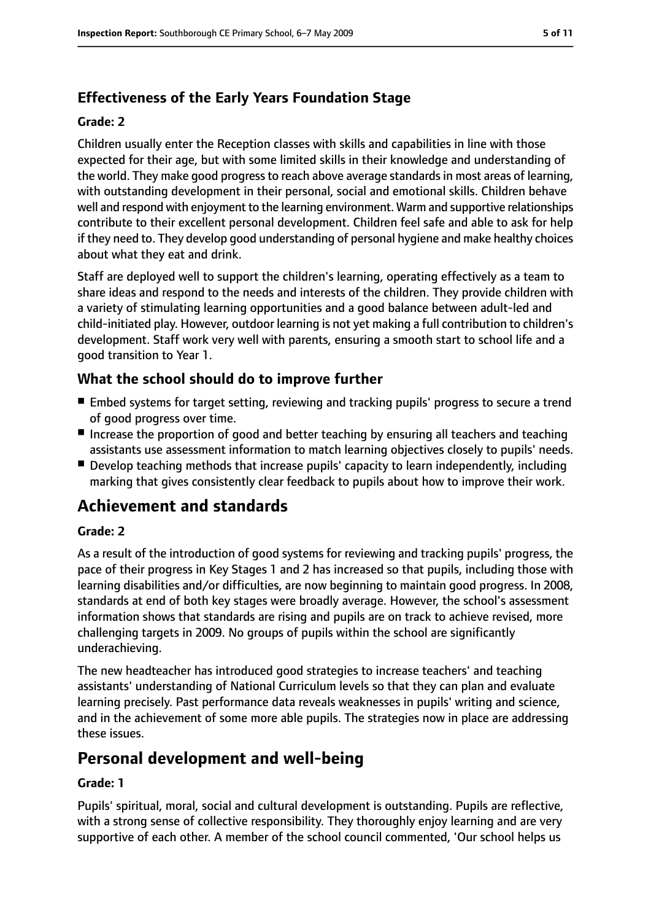# **Effectiveness of the Early Years Foundation Stage**

#### **Grade: 2**

Children usually enter the Reception classes with skills and capabilities in line with those expected for their age, but with some limited skills in their knowledge and understanding of the world. They make good progress to reach above average standards in most areas of learning, with outstanding development in their personal, social and emotional skills. Children behave well and respond with enjoyment to the learning environment. Warm and supportive relationships contribute to their excellent personal development. Children feel safe and able to ask for help if they need to. They develop good understanding of personal hygiene and make healthy choices about what they eat and drink.

Staff are deployed well to support the children's learning, operating effectively as a team to share ideas and respond to the needs and interests of the children. They provide children with a variety of stimulating learning opportunities and a good balance between adult-led and child-initiated play. However, outdoor learning is not yet making a full contribution to children's development. Staff work very well with parents, ensuring a smooth start to school life and a good transition to Year 1.

# **What the school should do to improve further**

- Embed systems for target setting, reviewing and tracking pupils' progress to secure a trend of good progress over time.
- Increase the proportion of good and better teaching by ensuring all teachers and teaching assistants use assessment information to match learning objectives closely to pupils' needs.
- Develop teaching methods that increase pupils' capacity to learn independently, including marking that gives consistently clear feedback to pupils about how to improve their work.

# **Achievement and standards**

#### **Grade: 2**

As a result of the introduction of good systems for reviewing and tracking pupils' progress, the pace of their progress in Key Stages 1 and 2 has increased so that pupils, including those with learning disabilities and/or difficulties, are now beginning to maintain good progress. In 2008, standards at end of both key stages were broadly average. However, the school's assessment information shows that standards are rising and pupils are on track to achieve revised, more challenging targets in 2009. No groups of pupils within the school are significantly underachieving.

The new headteacher has introduced good strategies to increase teachers' and teaching assistants' understanding of National Curriculum levels so that they can plan and evaluate learning precisely. Past performance data reveals weaknesses in pupils' writing and science, and in the achievement of some more able pupils. The strategies now in place are addressing these issues.

# **Personal development and well-being**

#### **Grade: 1**

Pupils' spiritual, moral, social and cultural development is outstanding. Pupils are reflective, with a strong sense of collective responsibility. They thoroughly enjoy learning and are very supportive of each other. A member of the school council commented, 'Our school helps us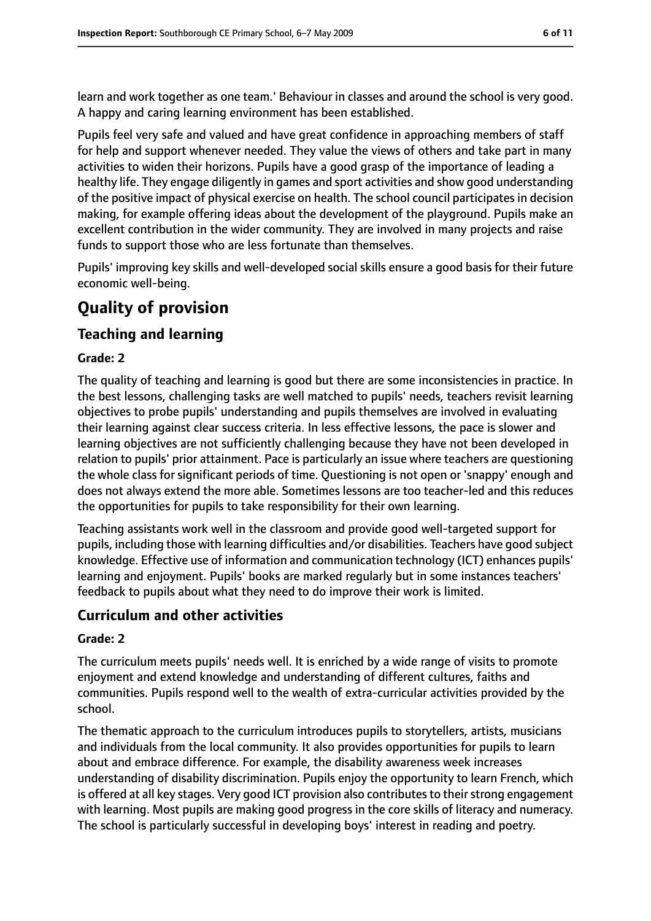learn and work together as one team.' Behaviour in classes and around the school is very good. A happy and caring learning environment has been established.

Pupils feel very safe and valued and have great confidence in approaching members of staff for help and support whenever needed. They value the views of others and take part in many activities to widen their horizons. Pupils have a good grasp of the importance of leading a healthy life. They engage diligently in games and sport activities and show good understanding of the positive impact of physical exercise on health. The school council participates in decision making, for example offering ideas about the development of the playground. Pupils make an excellent contribution in the wider community. They are involved in many projects and raise funds to support those who are less fortunate than themselves.

Pupils' improving key skills and well-developed social skills ensure a good basis for their future economic well-being.

# **Quality of provision**

#### **Teaching and learning**

#### **Grade: 2**

The quality of teaching and learning is good but there are some inconsistencies in practice. In the best lessons, challenging tasks are well matched to pupils' needs, teachers revisit learning objectives to probe pupils' understanding and pupils themselves are involved in evaluating their learning against clear success criteria. In less effective lessons, the pace is slower and learning objectives are not sufficiently challenging because they have not been developed in relation to pupils' prior attainment. Pace is particularly an issue where teachers are questioning the whole class for significant periods of time. Questioning is not open or 'snappy' enough and does not always extend the more able. Sometimes lessons are too teacher-led and this reduces the opportunities for pupils to take responsibility for their own learning.

Teaching assistants work well in the classroom and provide good well-targeted support for pupils, including those with learning difficulties and/or disabilities. Teachers have good subject knowledge. Effective use of information and communication technology (ICT) enhances pupils' learning and enjoyment. Pupils' books are marked regularly but in some instances teachers' feedback to pupils about what they need to do improve their work is limited.

#### **Curriculum and other activities**

#### **Grade: 2**

The curriculum meets pupils' needs well. It is enriched by a wide range of visits to promote enjoyment and extend knowledge and understanding of different cultures, faiths and communities. Pupils respond well to the wealth of extra-curricular activities provided by the school.

The thematic approach to the curriculum introduces pupils to storytellers, artists, musicians and individuals from the local community. It also provides opportunities for pupils to learn about and embrace difference. For example, the disability awareness week increases understanding of disability discrimination. Pupils enjoy the opportunity to learn French, which is offered at all key stages. Very good ICT provision also contributes to their strong engagement with learning. Most pupils are making good progress in the core skills of literacy and numeracy. The school is particularly successful in developing boys' interest in reading and poetry.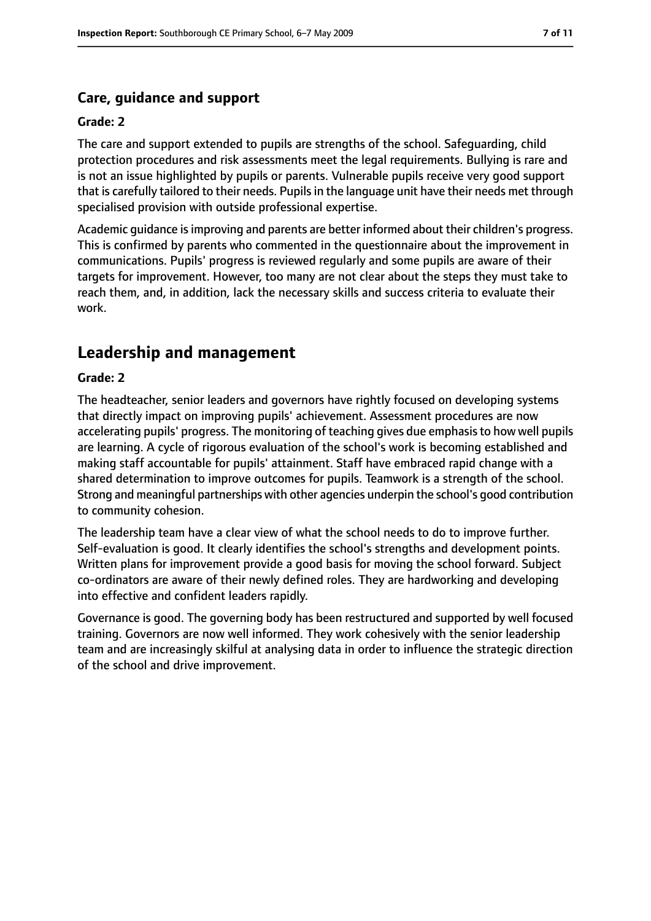#### **Care, guidance and support**

#### **Grade: 2**

The care and support extended to pupils are strengths of the school. Safeguarding, child protection procedures and risk assessments meet the legal requirements. Bullying is rare and is not an issue highlighted by pupils or parents. Vulnerable pupils receive very good support that is carefully tailored to their needs. Pupilsin the language unit have their needs met through specialised provision with outside professional expertise.

Academic guidance is improving and parents are better informed about their children's progress. This is confirmed by parents who commented in the questionnaire about the improvement in communications. Pupils' progress is reviewed regularly and some pupils are aware of their targets for improvement. However, too many are not clear about the steps they must take to reach them, and, in addition, lack the necessary skills and success criteria to evaluate their work.

# **Leadership and management**

#### **Grade: 2**

The headteacher, senior leaders and governors have rightly focused on developing systems that directly impact on improving pupils' achievement. Assessment procedures are now accelerating pupils' progress. The monitoring of teaching gives due emphasisto how well pupils are learning. A cycle of rigorous evaluation of the school's work is becoming established and making staff accountable for pupils' attainment. Staff have embraced rapid change with a shared determination to improve outcomes for pupils. Teamwork is a strength of the school. Strong and meaningful partnerships with other agencies underpin the school's good contribution to community cohesion.

The leadership team have a clear view of what the school needs to do to improve further. Self-evaluation is good. It clearly identifies the school's strengths and development points. Written plans for improvement provide a good basis for moving the school forward. Subject co-ordinators are aware of their newly defined roles. They are hardworking and developing into effective and confident leaders rapidly.

Governance is good. The governing body has been restructured and supported by well focused training. Governors are now well informed. They work cohesively with the senior leadership team and are increasingly skilful at analysing data in order to influence the strategic direction of the school and drive improvement.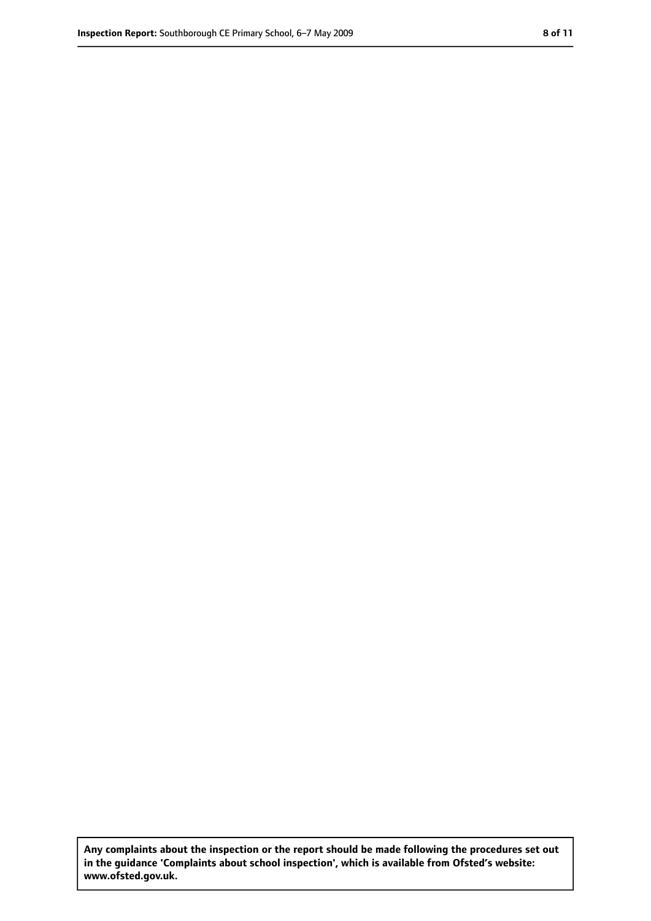**Any complaints about the inspection or the report should be made following the procedures set out in the guidance 'Complaints about school inspection', which is available from Ofsted's website: www.ofsted.gov.uk.**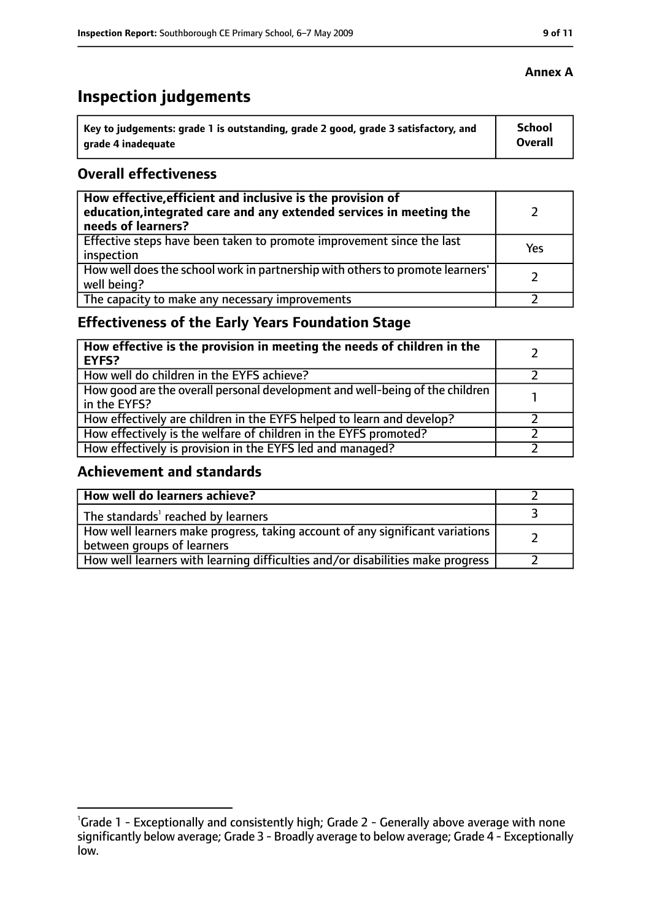# **Inspection judgements**

| Key to judgements: grade 1 is outstanding, grade 2 good, grade 3 satisfactory, and | <b>School</b>  |
|------------------------------------------------------------------------------------|----------------|
| arade 4 inadequate                                                                 | <b>Overall</b> |

#### **Overall effectiveness**

| How effective, efficient and inclusive is the provision of<br>education, integrated care and any extended services in meeting the<br>needs of learners? |     |
|---------------------------------------------------------------------------------------------------------------------------------------------------------|-----|
| Effective steps have been taken to promote improvement since the last<br>inspection                                                                     | Yes |
| How well does the school work in partnership with others to promote learners'<br>well being?                                                            |     |
| The capacity to make any necessary improvements                                                                                                         |     |

# **Effectiveness of the Early Years Foundation Stage**

| How effective is the provision in meeting the needs of children in the<br><b>EYFS?</b>       |  |
|----------------------------------------------------------------------------------------------|--|
| How well do children in the EYFS achieve?                                                    |  |
| How good are the overall personal development and well-being of the children<br>in the EYFS? |  |
| How effectively are children in the EYFS helped to learn and develop?                        |  |
| How effectively is the welfare of children in the EYFS promoted?                             |  |
| How effectively is provision in the EYFS led and managed?                                    |  |

#### **Achievement and standards**

| How well do learners achieve?                                                                               |  |
|-------------------------------------------------------------------------------------------------------------|--|
| The standards <sup>1</sup> reached by learners                                                              |  |
| How well learners make progress, taking account of any significant variations<br>between groups of learners |  |
| How well learners with learning difficulties and/or disabilities make progress                              |  |

<sup>&</sup>lt;sup>1</sup>Grade 1 - Exceptionally and consistently high; Grade 2 - Generally above average with none significantly below average; Grade 3 - Broadly average to below average; Grade 4 - Exceptionally low.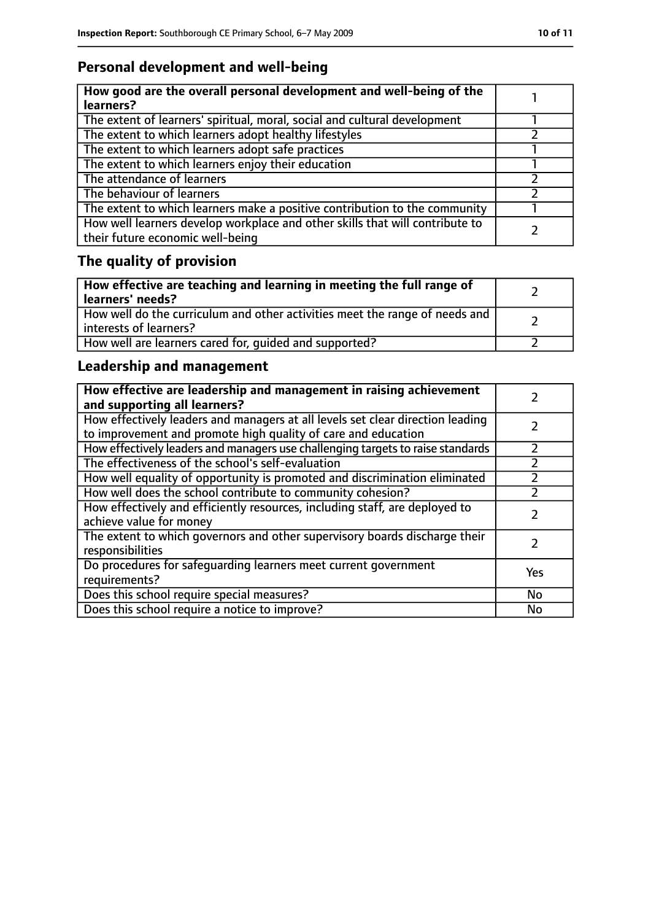# **Personal development and well-being**

| How good are the overall personal development and well-being of the<br>learners?                                 |  |
|------------------------------------------------------------------------------------------------------------------|--|
| The extent of learners' spiritual, moral, social and cultural development                                        |  |
| The extent to which learners adopt healthy lifestyles                                                            |  |
| The extent to which learners adopt safe practices                                                                |  |
| The extent to which learners enjoy their education                                                               |  |
| The attendance of learners                                                                                       |  |
| The behaviour of learners                                                                                        |  |
| The extent to which learners make a positive contribution to the community                                       |  |
| How well learners develop workplace and other skills that will contribute to<br>their future economic well-being |  |

# **The quality of provision**

| How effective are teaching and learning in meeting the full range of<br>learners' needs?              |  |
|-------------------------------------------------------------------------------------------------------|--|
| How well do the curriculum and other activities meet the range of needs and<br>interests of learners? |  |
| How well are learners cared for, quided and supported?                                                |  |

# **Leadership and management**

| How effective are leadership and management in raising achievement<br>and supporting all learners?                                              |           |
|-------------------------------------------------------------------------------------------------------------------------------------------------|-----------|
| How effectively leaders and managers at all levels set clear direction leading<br>to improvement and promote high quality of care and education |           |
| How effectively leaders and managers use challenging targets to raise standards                                                                 | フ         |
| The effectiveness of the school's self-evaluation                                                                                               |           |
| How well equality of opportunity is promoted and discrimination eliminated                                                                      |           |
| How well does the school contribute to community cohesion?                                                                                      |           |
| How effectively and efficiently resources, including staff, are deployed to<br>achieve value for money                                          |           |
| The extent to which governors and other supervisory boards discharge their<br>responsibilities                                                  |           |
| Do procedures for safequarding learners meet current government<br>requirements?                                                                | Yes       |
| Does this school require special measures?                                                                                                      | <b>No</b> |
| Does this school require a notice to improve?                                                                                                   | <b>No</b> |